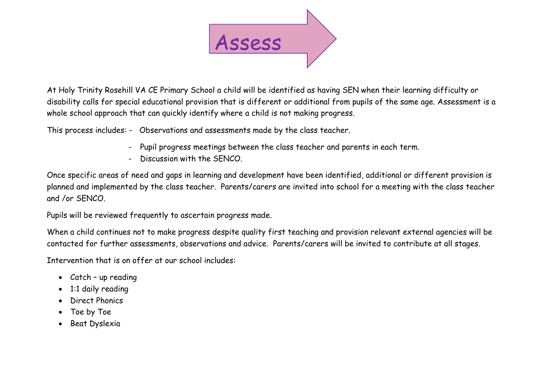

At Holy Trinity Rosehill VA CE Primary School a child will be identified as having SEN when their learning difficulty or disability calls for special educational provision that is different or additional from pupils of the same age. Assessment is a whole school approach that can quickly identify where a child is not making progress.

This process includes: - Observations and assessments made by the class teacher.

- Pupil progress meetings between the class teacher and parents in each term.
- Discussion with the SENCO.

Once specific areas of need and gaps in learning and development have been identified, additional or different provision is planned and implemented by the class teacher. Parents/carers are invited into school for a meeting with the class teacher and /or SENCO.

Pupils will be reviewed frequently to ascertain progress made.

When a child continues not to make progress despite quality first teaching and provision relevant external agencies will be contacted for further assessments, observations and advice. Parents/carers will be invited to contribute at all stages.

Intervention that is on offer at our school includes:

- Catch up reading
- 1:1 daily reading
- Direct Phonics
- Toe by Toe
- Beat Dyslexia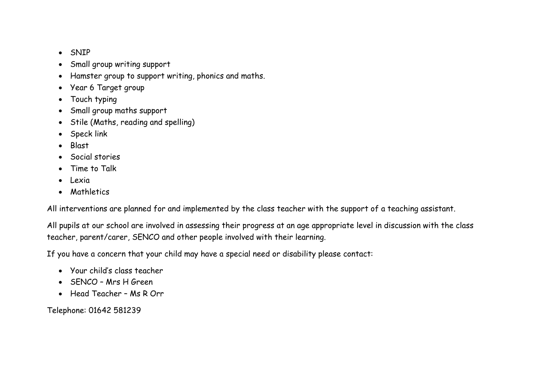- SNIP
- Small group writing support
- Hamster group to support writing, phonics and maths.
- Year 6 Target group
- Touch typing
- Small group maths support
- Stile (Maths, reading and spelling)
- Speck link
- Blast
- Social stories
- Time to Talk
- Lexia
- Mathletics

All interventions are planned for and implemented by the class teacher with the support of a teaching assistant.

All pupils at our school are involved in assessing their progress at an age appropriate level in discussion with the class teacher, parent/carer, SENCO and other people involved with their learning.

If you have a concern that your child may have a special need or disability please contact:

- Your child's class teacher
- SENCO Mrs H Green
- Head Teacher Ms R Orr

Telephone: 01642 581239